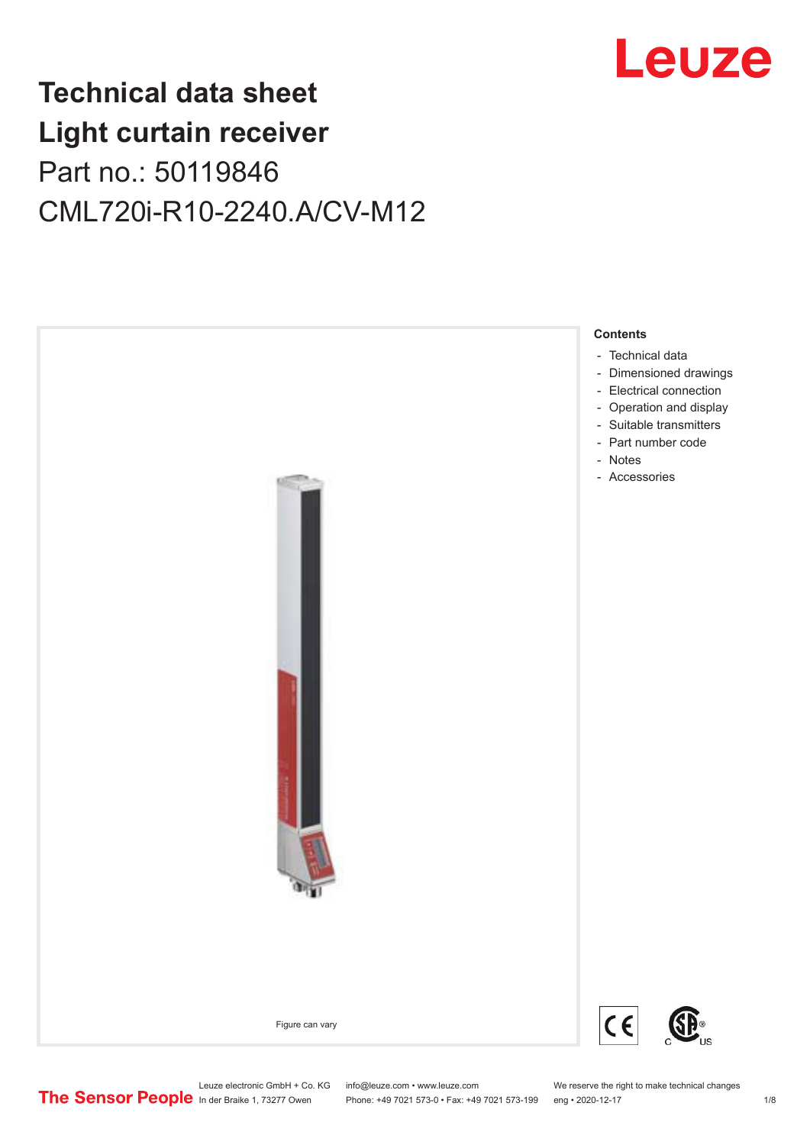

## **Technical data sheet Light curtain receiver** Part no.: 50119846 CML720i-R10-2240.A/CV-M12



Leuze electronic GmbH + Co. KG info@leuze.com • www.leuze.com We reserve the right to make technical changes<br>
The Sensor People in der Braike 1, 73277 Owen Phone: +49 7021 573-0 • Fax: +49 7021 573-199 eng • 2020-12-17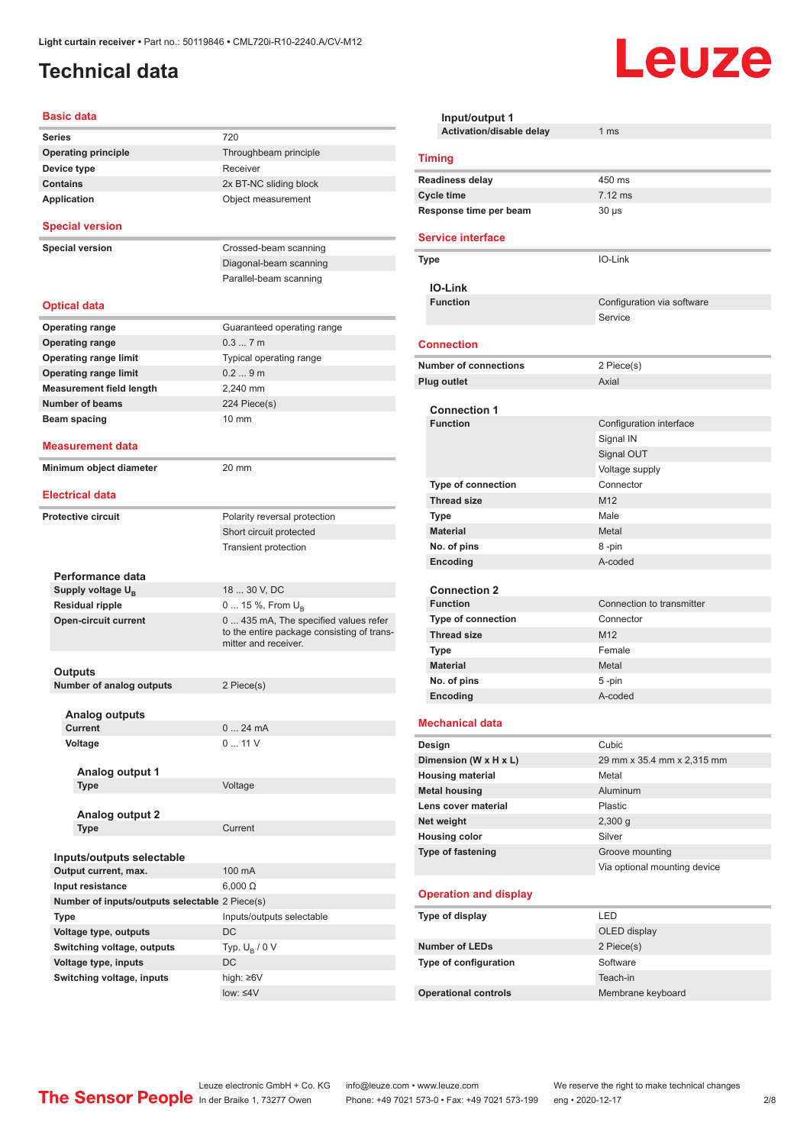## <span id="page-1-0"></span>**Technical data**

#### **Basic data**

| <b>Series</b>                                  | 720                                                                       |
|------------------------------------------------|---------------------------------------------------------------------------|
| <b>Operating principle</b>                     | Throughbeam principle                                                     |
| Device type                                    | Receiver                                                                  |
| <b>Contains</b>                                | 2x BT-NC sliding block                                                    |
| <b>Application</b>                             | Object measurement                                                        |
|                                                |                                                                           |
| <b>Special version</b>                         |                                                                           |
| <b>Special version</b>                         | Crossed-beam scanning                                                     |
|                                                | Diagonal-beam scanning                                                    |
|                                                | Parallel-beam scanning                                                    |
|                                                |                                                                           |
| <b>Optical data</b>                            |                                                                           |
| <b>Operating range</b>                         | Guaranteed operating range                                                |
| <b>Operating range</b>                         | 0.37m                                                                     |
| <b>Operating range limit</b>                   | Typical operating range                                                   |
| <b>Operating range limit</b>                   | 0.29m                                                                     |
| <b>Measurement field length</b>                | 2,240 mm                                                                  |
| <b>Number of beams</b>                         | 224 Piece(s)                                                              |
| Beam spacing                                   | 10 mm                                                                     |
|                                                |                                                                           |
| Measurement data                               |                                                                           |
| Minimum object diameter                        | 20 mm                                                                     |
|                                                |                                                                           |
| <b>Electrical data</b>                         |                                                                           |
|                                                |                                                                           |
| <b>Protective circuit</b>                      | Polarity reversal protection                                              |
|                                                | Short circuit protected                                                   |
|                                                | <b>Transient protection</b>                                               |
|                                                |                                                                           |
|                                                |                                                                           |
| Performance data                               |                                                                           |
| Supply voltage U <sub>B</sub>                  | 18  30 V, DC                                                              |
| <b>Residual ripple</b>                         | 0  15 %, From U <sub>B</sub>                                              |
| <b>Open-circuit current</b>                    | 0 435 mA, The specified values refer                                      |
|                                                | mitter and receiver.                                                      |
|                                                |                                                                           |
| Outputs                                        |                                                                           |
| Number of analog outputs                       | 2 Piece(s)                                                                |
|                                                |                                                                           |
| <b>Analog outputs</b>                          |                                                                           |
| Current                                        | 0  24 mA<br>011V                                                          |
| Voltage                                        |                                                                           |
| Analog output 1                                |                                                                           |
| Type                                           | Voltage                                                                   |
|                                                |                                                                           |
| <b>Analog output 2</b>                         |                                                                           |
| Type                                           | Current                                                                   |
|                                                |                                                                           |
| Inputs/outputs selectable                      |                                                                           |
| Output current, max.                           | 100 mA                                                                    |
| Input resistance                               | $6,000 \Omega$                                                            |
| Number of inputs/outputs selectable 2 Piece(s) |                                                                           |
| <b>Type</b>                                    | Inputs/outputs selectable                                                 |
| Voltage type, outputs                          | DC                                                                        |
| Switching voltage, outputs                     | Typ. $U_R / 0 V$                                                          |
| Voltage type, inputs                           | DC                                                                        |
| Switching voltage, inputs                      | to the entire package consisting of trans-<br>high: ≥6V<br>low: $\leq 4V$ |

| Input/output 1<br>Activation/disable delay  | 1 <sub>ms</sub>              |  |  |
|---------------------------------------------|------------------------------|--|--|
|                                             |                              |  |  |
| <b>Timing</b>                               |                              |  |  |
| <b>Readiness delay</b>                      | 450 ms<br>$7.12$ ms          |  |  |
| <b>Cycle time</b><br>Response time per beam | $30 \mu s$                   |  |  |
|                                             |                              |  |  |
| <b>Service interface</b>                    |                              |  |  |
| Type                                        | IO-Link                      |  |  |
| <b>IO-Link</b>                              |                              |  |  |
| <b>Function</b>                             | Configuration via software   |  |  |
|                                             | Service                      |  |  |
|                                             |                              |  |  |
| <b>Connection</b>                           |                              |  |  |
| <b>Number of connections</b>                | 2 Piece(s)                   |  |  |
| <b>Plug outlet</b>                          | Axial                        |  |  |
| <b>Connection 1</b>                         |                              |  |  |
| <b>Function</b>                             | Configuration interface      |  |  |
|                                             | Signal IN                    |  |  |
|                                             | Signal OUT                   |  |  |
|                                             | Voltage supply               |  |  |
| <b>Type of connection</b>                   | Connector                    |  |  |
| <b>Thread size</b>                          | M <sub>12</sub>              |  |  |
| <b>Type</b>                                 | Male                         |  |  |
| <b>Material</b>                             | Metal                        |  |  |
| No. of pins                                 | 8-pin                        |  |  |
| Encoding                                    | A-coded                      |  |  |
|                                             |                              |  |  |
| <b>Connection 2</b>                         |                              |  |  |
| <b>Function</b>                             | Connection to transmitter    |  |  |
| <b>Type of connection</b>                   | Connector                    |  |  |
| <b>Thread size</b>                          | M <sub>12</sub>              |  |  |
| <b>Type</b>                                 | Female                       |  |  |
| <b>Material</b>                             | Metal                        |  |  |
| No. of pins                                 | $5 - pin$                    |  |  |
| Encoding                                    | A-coded                      |  |  |
|                                             |                              |  |  |
| <b>Mechanical data</b>                      |                              |  |  |
| Design                                      | Cubic                        |  |  |
| Dimension (W x H x L)                       | 29 mm x 35.4 mm x 2,315 mm   |  |  |
| <b>Housing material</b>                     | Metal                        |  |  |
| <b>Metal housing</b>                        | Aluminum                     |  |  |
| Lens cover material                         | <b>Plastic</b>               |  |  |
| Net weight                                  | 2,300 g                      |  |  |
| <b>Housing color</b>                        | Silver                       |  |  |
| <b>Type of fastening</b>                    | Groove mounting              |  |  |
|                                             | Via optional mounting device |  |  |
| <b>Operation and display</b>                |                              |  |  |
| Type of display                             | LED                          |  |  |
|                                             | OLED display                 |  |  |
| <b>Number of LEDs</b>                       | 2 Piece(s)                   |  |  |
| Type of configuration                       | Software                     |  |  |
|                                             | Teach-in                     |  |  |
| <b>Operational controls</b>                 | Membrane keyboard            |  |  |
|                                             |                              |  |  |

Leuze

Leuze electronic GmbH + Co. KG info@leuze.com • www.leuze.com We reserve the right to make technical changes ln der Braike 1, 73277 Owen Phone: +49 7021 573-0 • Fax: +49 7021 573-199 eng • 2020-12-17 2/8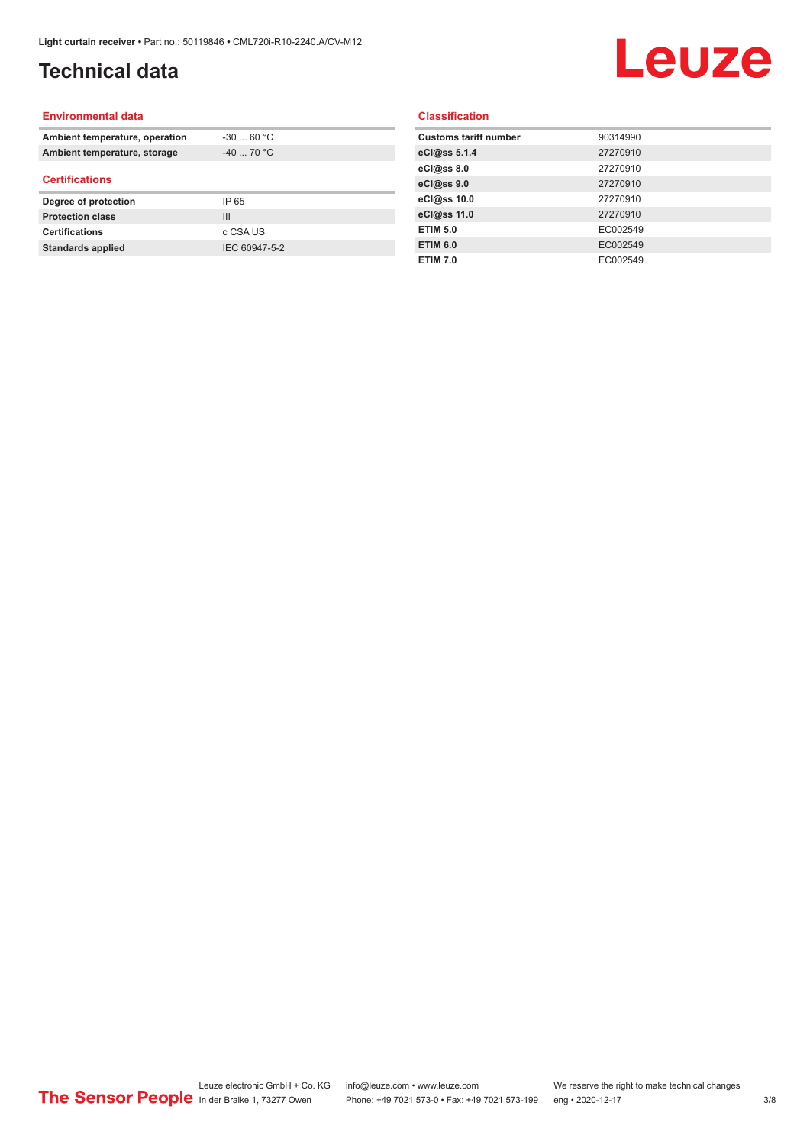## **Technical data**

# Leuze

#### **Environmental data**

| Ambient temperature, operation | $-30$ 60 °C    |  |
|--------------------------------|----------------|--|
| Ambient temperature, storage   | $-40$ 70 °C    |  |
| <b>Certifications</b>          |                |  |
| Degree of protection           | IP 65          |  |
| <b>Protection class</b>        | $\mathbf{III}$ |  |
| <b>Certifications</b>          | c CSA US       |  |
| <b>Standards applied</b>       | IEC 60947-5-2  |  |

#### **Classification**

| <b>Customs tariff number</b> | 90314990 |
|------------------------------|----------|
| eCl@ss 5.1.4                 | 27270910 |
| eCl@ss 8.0                   | 27270910 |
| eCl@ss 9.0                   | 27270910 |
| eCl@ss 10.0                  | 27270910 |
| eCl@ss 11.0                  | 27270910 |
| <b>ETIM 5.0</b>              | EC002549 |
| <b>ETIM 6.0</b>              | EC002549 |
| <b>ETIM 7.0</b>              | EC002549 |
|                              |          |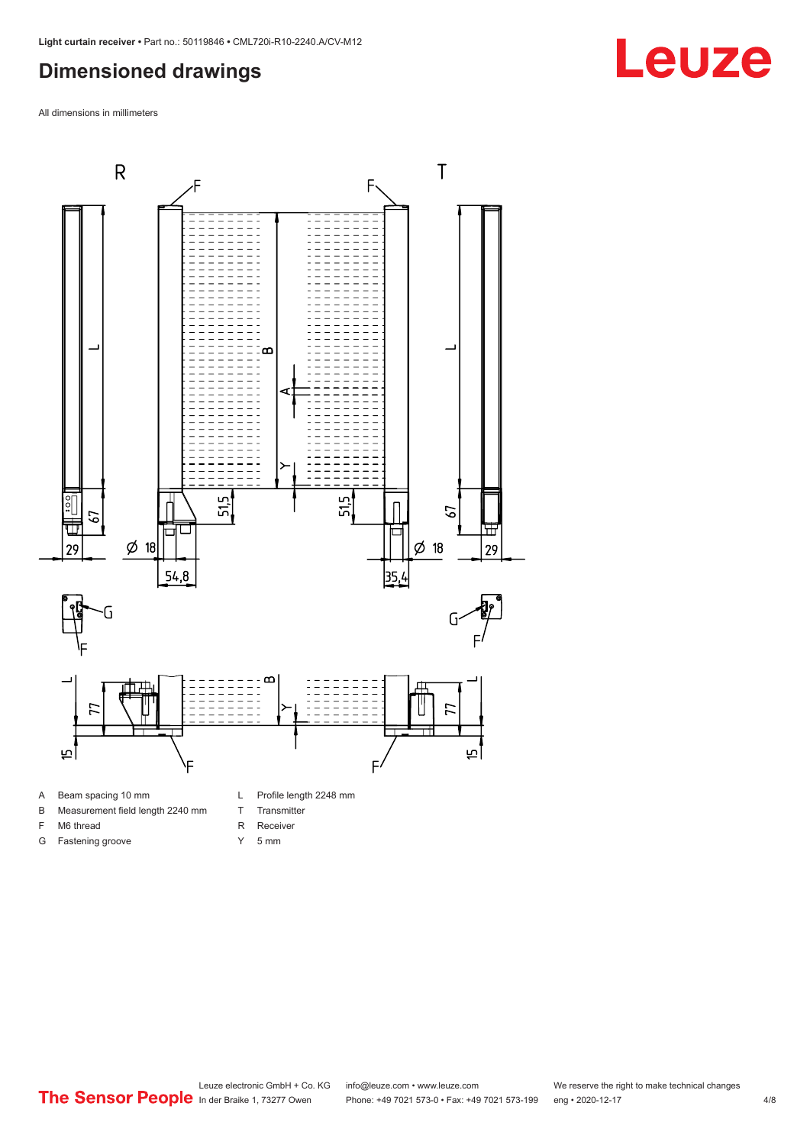### <span id="page-3-0"></span>**Dimensioned drawings**

All dimensions in millimeters



- 
- B Measurement field length 2240 mm
- F M6 thread
- G Fastening groove
- R Receiver Y 5 mm

T Transmitter

Leuze electronic GmbH + Co. KG info@leuze.com • www.leuze.com We reserve the right to make technical changes<br>
The Sensor People in der Braike 1, 73277 Owen Phone: +49 7021 573-0 • Fax: +49 7021 573-199 eng • 2020-12-17 Phone: +49 7021 573-0 • Fax: +49 7021 573-199 eng • 2020-12-17

## **Leuze**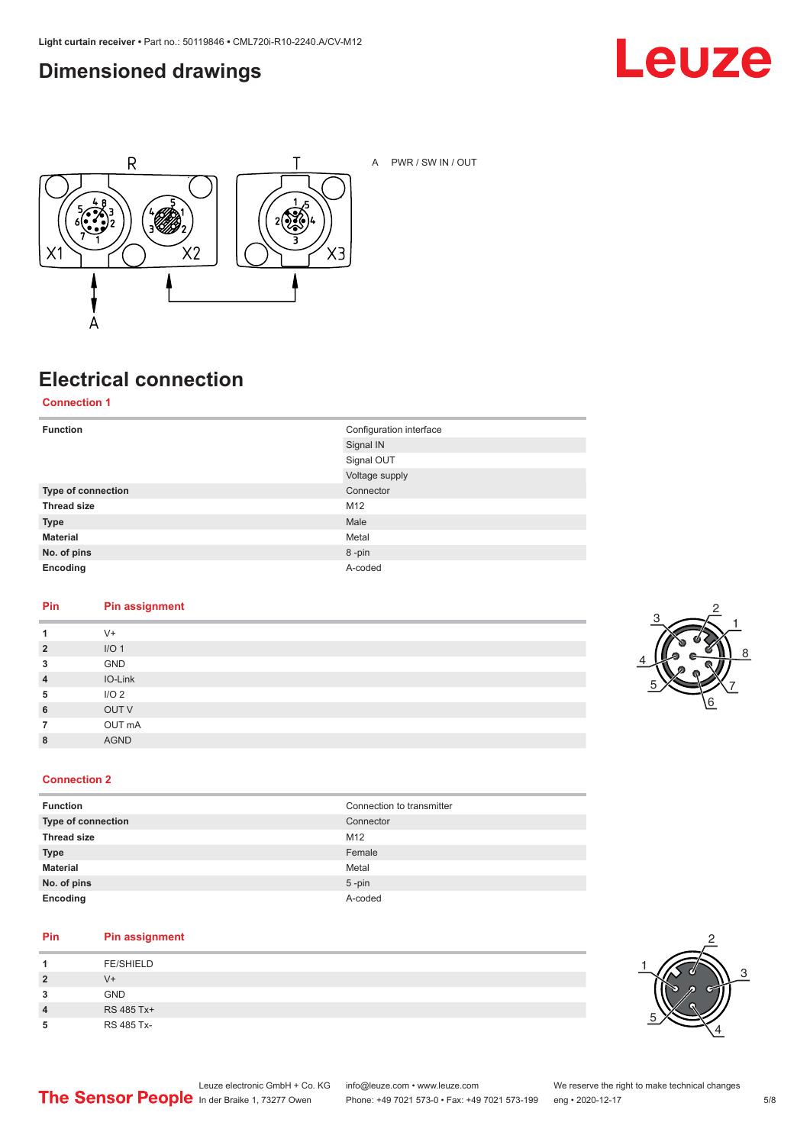### <span id="page-4-0"></span>**Dimensioned drawings**





A PWR / SW IN / OUT

## **Electrical connection**

**Connection 1**

| <b>Function</b>    | Configuration interface |
|--------------------|-------------------------|
|                    | Signal IN               |
|                    | Signal OUT              |
|                    | Voltage supply          |
| Type of connection | Connector               |
| <b>Thread size</b> | M12                     |
| <b>Type</b>        | Male                    |
| <b>Material</b>    | Metal                   |
| No. of pins        | 8-pin                   |
| Encoding           | A-coded                 |

#### **Pin Pin assignment**

| 1              | $V^+$            |
|----------------|------------------|
| $\overline{2}$ | I/O <sub>1</sub> |
| 3              | GND              |
| $\overline{4}$ | IO-Link          |
| 5              | I/O <sub>2</sub> |
| 6              | OUT V            |
| 7              | OUT mA           |
| 8              | <b>AGND</b>      |
|                |                  |



#### **Connection 2**

| <b>Function</b>    | Connection to transmitter |
|--------------------|---------------------------|
| Type of connection | Connector                 |
| <b>Thread size</b> | M12                       |
| <b>Type</b>        | Female                    |
| <b>Material</b>    | Metal                     |
| No. of pins        | $5$ -pin                  |
| Encoding           | A-coded                   |

#### **Pin Pin assignment**

| л              | <b>FE/SHIELD</b> |
|----------------|------------------|
| $\overline{2}$ | V+               |
| 3              | <b>GND</b>       |
| 4              | RS 485 Tx+       |
| 5              | RS 485 Tx-       |

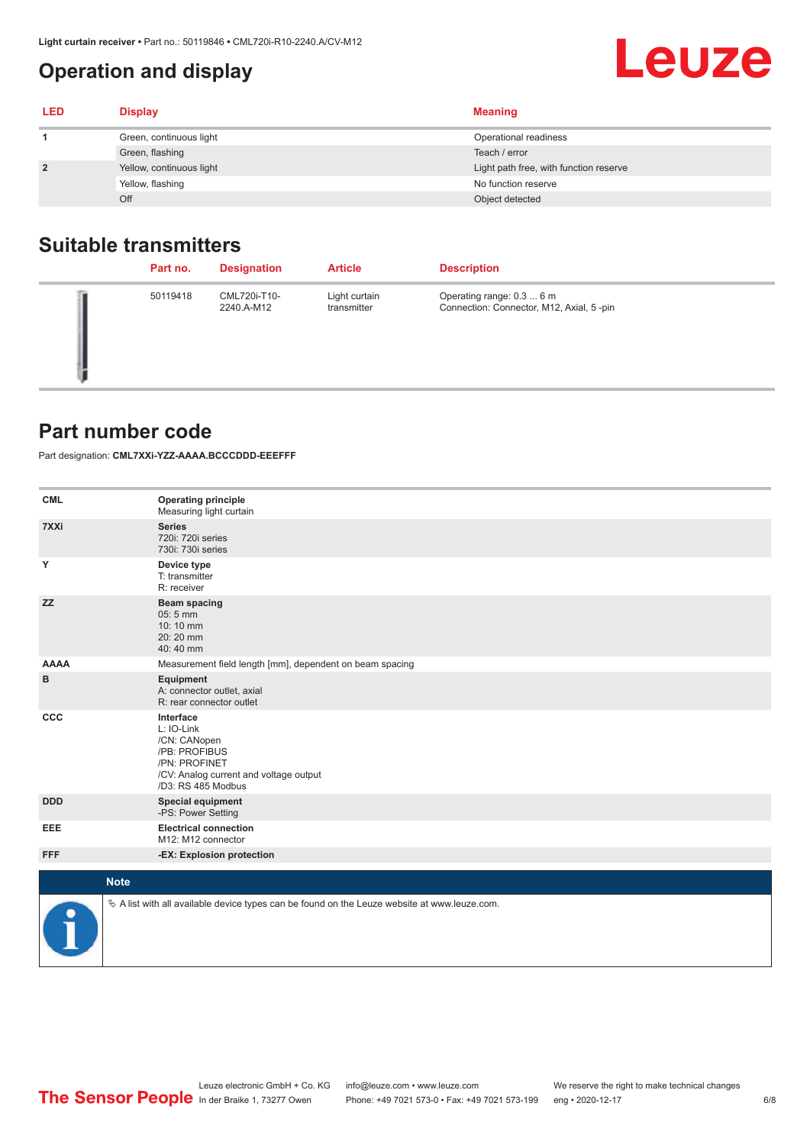### <span id="page-5-0"></span>**Operation and display**

| <b>LED</b> | <b>Display</b>           | <b>Meaning</b>                         |
|------------|--------------------------|----------------------------------------|
|            | Green, continuous light  | Operational readiness                  |
|            | Green, flashing          | Teach / error                          |
|            | Yellow, continuous light | Light path free, with function reserve |
|            | Yellow, flashing         | No function reserve                    |
|            | Off                      | Object detected                        |

#### **Suitable transmitters**

| Part no. | <b>Designation</b>         | <b>Article</b>               | <b>Description</b>                                                    |
|----------|----------------------------|------------------------------|-----------------------------------------------------------------------|
| 50119418 | CML720i-T10-<br>2240.A-M12 | Light curtain<br>transmitter | Operating range: 0.3  6 m<br>Connection: Connector, M12, Axial, 5-pin |

#### **Part number code**

Part designation: **CML7XXi-YZZ-AAAA.BCCCDDD-EEEFFF**

| <b>CML</b>           | <b>Operating principle</b><br>Measuring light curtain                                                                                     |
|----------------------|-------------------------------------------------------------------------------------------------------------------------------------------|
| 7XXi                 | <b>Series</b><br>720i: 720i series<br>730i: 730i series                                                                                   |
| Y                    | Device type<br>T: transmitter<br>R: receiver                                                                                              |
| <b>ZZ</b>            | <b>Beam spacing</b><br>05:5 mm<br>10:10 mm<br>20:20 mm<br>40:40 mm                                                                        |
| <b>AAAA</b>          | Measurement field length [mm], dependent on beam spacing                                                                                  |
| в                    | Equipment<br>A: connector outlet, axial<br>R: rear connector outlet                                                                       |
| CCC                  | Interface<br>L: IO-Link<br>/CN: CANopen<br>/PB: PROFIBUS<br>/PN: PROFINET<br>/CV: Analog current and voltage output<br>/D3: RS 485 Modbus |
| <b>DDD</b>           | <b>Special equipment</b><br>-PS: Power Setting                                                                                            |
| <b>EEE</b>           | <b>Electrical connection</b><br>M12: M12 connector                                                                                        |
| <b>FFF</b>           | -EX: Explosion protection                                                                                                                 |
| <b>Note</b>          |                                                                                                                                           |
|                      |                                                                                                                                           |
| $\ddot{\phantom{1}}$ | $\&$ A list with all available device types can be found on the Leuze website at www.leuze.com.                                           |

Leuze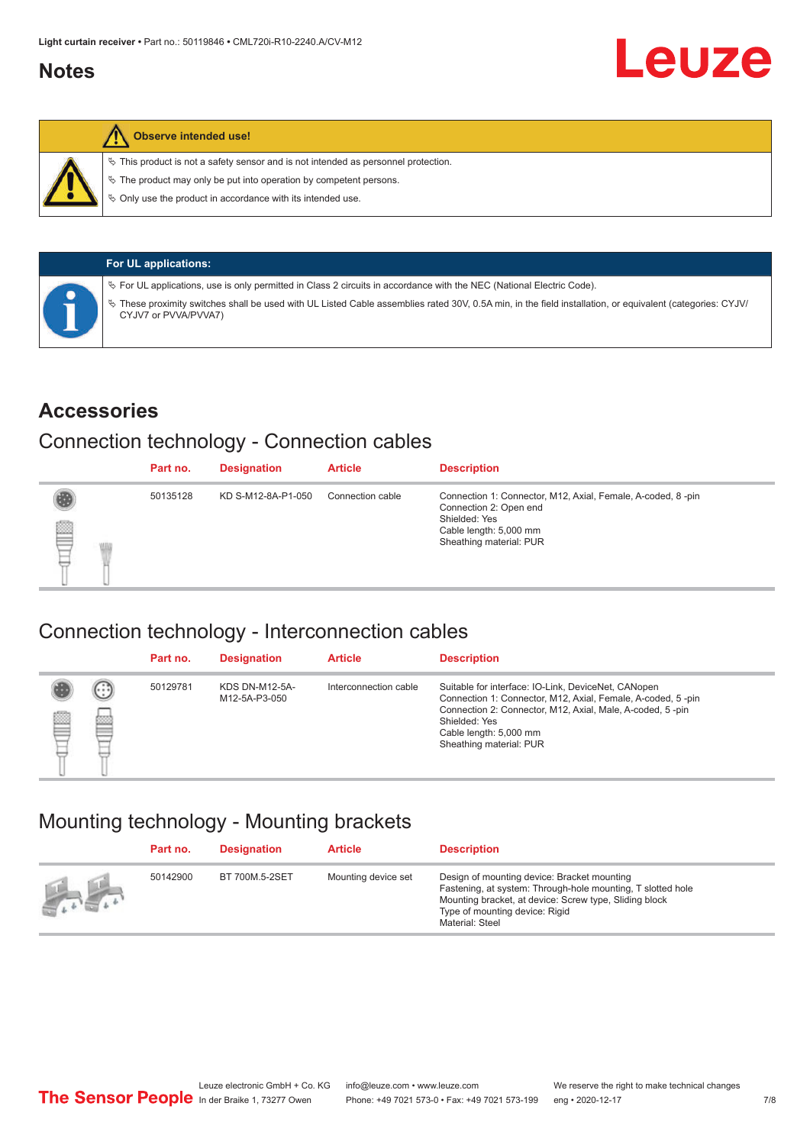#### <span id="page-6-0"></span>**Notes**



#### **Observe intended use!**

 $\%$  This product is not a safety sensor and is not intended as personnel protection.

 $\%$  The product may only be put into operation by competent persons.

 $\%$  Only use the product in accordance with its intended use.

| <b>For UL applications:</b>                                                                                                                                                       |
|-----------------------------------------------------------------------------------------------------------------------------------------------------------------------------------|
| $\%$ For UL applications, use is only permitted in Class 2 circuits in accordance with the NEC (National Electric Code).                                                          |
| V These proximity switches shall be used with UL Listed Cable assemblies rated 30V, 0.5A min, in the field installation, or equivalent (categories: CYJV/<br>CYJV7 or PVVA/PVVA7) |

#### **Accessories**

#### Connection technology - Connection cables

|   | Part no. | <b>Designation</b> | <b>Article</b>   | <b>Description</b>                                                                                                                                          |
|---|----------|--------------------|------------------|-------------------------------------------------------------------------------------------------------------------------------------------------------------|
| § | 50135128 | KD S-M12-8A-P1-050 | Connection cable | Connection 1: Connector, M12, Axial, Female, A-coded, 8-pin<br>Connection 2: Open end<br>Shielded: Yes<br>Cable length: 5,000 mm<br>Sheathing material: PUR |

#### Connection technology - Interconnection cables

|   |                   | Part no. | <b>Designation</b>                     | <b>Article</b>        | <b>Description</b>                                                                                                                                                                                                                                    |
|---|-------------------|----------|----------------------------------------|-----------------------|-------------------------------------------------------------------------------------------------------------------------------------------------------------------------------------------------------------------------------------------------------|
| e | $(\cdot$ : :<br>Þ | 50129781 | <b>KDS DN-M12-5A-</b><br>M12-5A-P3-050 | Interconnection cable | Suitable for interface: IO-Link, DeviceNet, CANopen<br>Connection 1: Connector, M12, Axial, Female, A-coded, 5-pin<br>Connection 2: Connector, M12, Axial, Male, A-coded, 5-pin<br>Shielded: Yes<br>Cable length: 5,000 mm<br>Sheathing material: PUR |

#### Mounting technology - Mounting brackets

|                 | Part no. | <b>Designation</b> | <b>Article</b>      | <b>Description</b>                                                                                                                                                                                                        |
|-----------------|----------|--------------------|---------------------|---------------------------------------------------------------------------------------------------------------------------------------------------------------------------------------------------------------------------|
| <b>All Card</b> | 50142900 | BT 700M.5-2SET     | Mounting device set | Design of mounting device: Bracket mounting<br>Fastening, at system: Through-hole mounting, T slotted hole<br>Mounting bracket, at device: Screw type, Sliding block<br>Type of mounting device: Rigid<br>Material: Steel |

Leuze